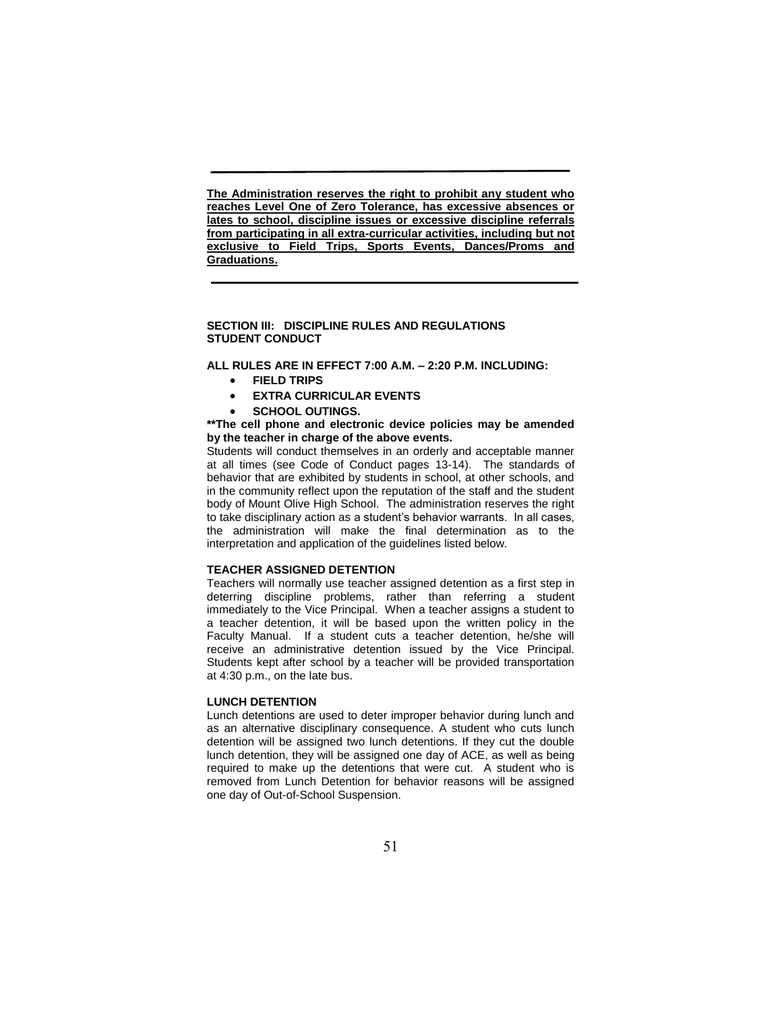**The Administration reserves the right to prohibit any student who reaches Level One of Zero Tolerance, has excessive absences or lates to school, discipline issues or excessive discipline referrals from participating in all extra-curricular activities, including but not exclusive to Field Trips, Sports Events, Dances/Proms and Graduations.** 

## **SECTION III: DISCIPLINE RULES AND REGULATIONS STUDENT CONDUCT**

**ALL RULES ARE IN EFFECT 7:00 A.M. – 2:20 P.M. INCLUDING:**

- **FIELD TRIPS**
- **EXTRA CURRICULAR EVENTS**
- **SCHOOL OUTINGS.**

#### **\*\*The cell phone and electronic device policies may be amended by the teacher in charge of the above events.**

Students will conduct themselves in an orderly and acceptable manner at all times (see Code of Conduct pages 13-14). The standards of behavior that are exhibited by students in school, at other schools, and in the community reflect upon the reputation of the staff and the student body of Mount Olive High School. The administration reserves the right to take disciplinary action as a student's behavior warrants. In all cases, the administration will make the final determination as to the interpretation and application of the guidelines listed below.

# **TEACHER ASSIGNED DETENTION**

Teachers will normally use teacher assigned detention as a first step in deterring discipline problems, rather than referring a student immediately to the Vice Principal. When a teacher assigns a student to a teacher detention, it will be based upon the written policy in the Faculty Manual. If a student cuts a teacher detention, he/she will receive an administrative detention issued by the Vice Principal. Students kept after school by a teacher will be provided transportation at 4:30 p.m., on the late bus.

# **LUNCH DETENTION**

Lunch detentions are used to deter improper behavior during lunch and as an alternative disciplinary consequence. A student who cuts lunch detention will be assigned two lunch detentions. If they cut the double lunch detention, they will be assigned one day of ACE, as well as being required to make up the detentions that were cut. A student who is removed from Lunch Detention for behavior reasons will be assigned one day of Out-of-School Suspension.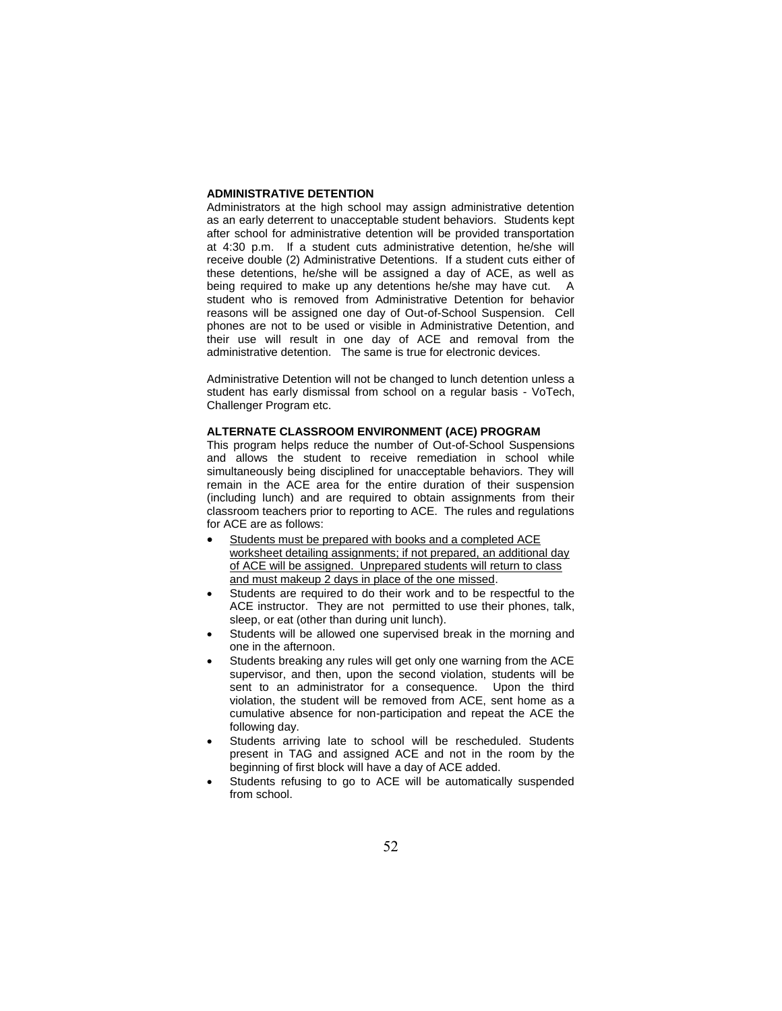## **ADMINISTRATIVE DETENTION**

Administrators at the high school may assign administrative detention as an early deterrent to unacceptable student behaviors. Students kept after school for administrative detention will be provided transportation at 4:30 p.m. If a student cuts administrative detention, he/she will receive double (2) Administrative Detentions. If a student cuts either of these detentions, he/she will be assigned a day of ACE, as well as being required to make up any detentions he/she may have cut. A student who is removed from Administrative Detention for behavior reasons will be assigned one day of Out-of-School Suspension. Cell phones are not to be used or visible in Administrative Detention, and their use will result in one day of ACE and removal from the administrative detention. The same is true for electronic devices.

Administrative Detention will not be changed to lunch detention unless a student has early dismissal from school on a regular basis - VoTech, Challenger Program etc.

## **ALTERNATE CLASSROOM ENVIRONMENT (ACE) PROGRAM**

This program helps reduce the number of Out-of-School Suspensions and allows the student to receive remediation in school while simultaneously being disciplined for unacceptable behaviors. They will remain in the ACE area for the entire duration of their suspension (including lunch) and are required to obtain assignments from their classroom teachers prior to reporting to ACE. The rules and regulations for ACE are as follows:

- Students must be prepared with books and a completed ACE worksheet detailing assignments; if not prepared, an additional day of ACE will be assigned. Unprepared students will return to class and must makeup 2 days in place of the one missed.
- Students are required to do their work and to be respectful to the ACE instructor. They are not permitted to use their phones, talk, sleep, or eat (other than during unit lunch).
- Students will be allowed one supervised break in the morning and one in the afternoon.
- Students breaking any rules will get only one warning from the ACE supervisor, and then, upon the second violation, students will be sent to an administrator for a consequence. Upon the third violation, the student will be removed from ACE, sent home as a cumulative absence for non-participation and repeat the ACE the following day.
- Students arriving late to school will be rescheduled. Students present in TAG and assigned ACE and not in the room by the beginning of first block will have a day of ACE added.
- Students refusing to go to ACE will be automatically suspended from school.